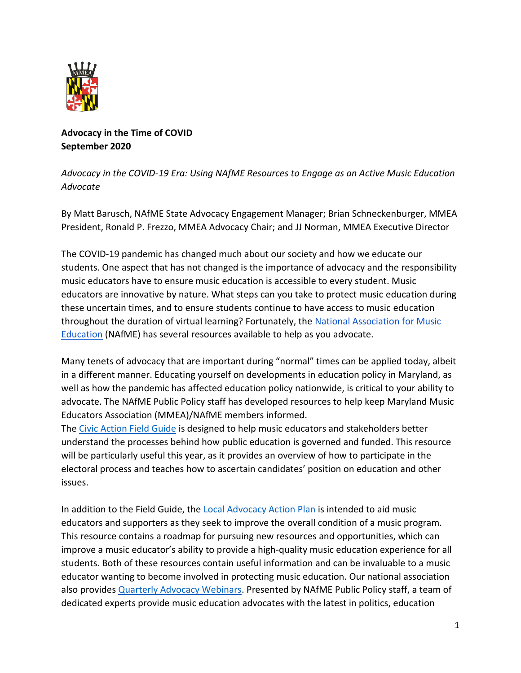

## **Advocacy in the Time of COVID September 2020**

## *Advocacy in the COVID-19 Era: Using NAfME Resources to Engage as an Active Music Education Advocate*

By Matt Barusch, NAfME State Advocacy Engagement Manager; Brian Schneckenburger, MMEA President, Ronald P. Frezzo, MMEA Advocacy Chair; and JJ Norman, MMEA Executive Director

The COVID-19 pandemic has changed much about our society and how we educate our students. One aspect that has not changed is the importance of advocacy and the responsibility music educators have to ensure music education is accessible to every student. Music educators are innovative by nature. What steps can you take to protect music education during these uncertain times, and to ensure students continue to have access to music education throughout the duration of virtual learning? Fortunately, the [National Association for Music](https://nafme.org/)  [Education](https://nafme.org/) (NAfME) has several resources available to help as you advocate.

Many tenets of advocacy that are important during "normal" times can be applied today, albeit in a different manner. Educating yourself on developments in education policy in Maryland, as well as how the pandemic has affected education policy nationwide, is critical to your ability to advocate. The NAfME Public Policy staff has developed resources to help keep Maryland Music Educators Association (MMEA)/NAfME members informed.

The [Civic Action Field Guide](https://nafme.org/wp-content/files/2018/10/Civic-Action-Field-Guide.pdf) is designed to help music educators and stakeholders better understand the processes behind how public education is governed and funded. This resource will be particularly useful this year, as it provides an overview of how to participate in the electoral process and teaches how to ascertain candidates' position on education and other issues.

In addition to the Field Guide, the [Local Advocacy Action Plan](https://nafme.org/wp-content/files/2020/06/Local-Advocacy-Action-Plan.pdf) is intended to aid music educators and supporters as they seek to improve the overall condition of a music program. This resource contains a roadmap for pursuing new resources and opportunities, which can improve a music educator's ability to provide a high-quality music education experience for all students. Both of these resources contain useful information and can be invaluable to a music educator wanting to become involved in protecting music education. Our national association also provides [Quarterly Advocacy Webinars.](https://nafme.org/advocacy/quarterly-advocacy-webinars/) Presented by NAfME Public Policy staff, a team of dedicated experts provide music education advocates with the latest in politics, education